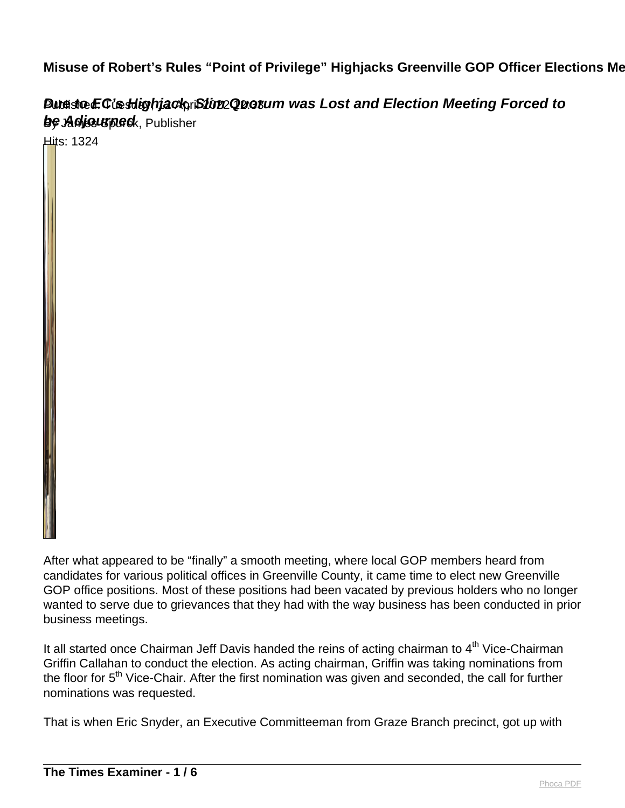*Putestod: Custitighjack is lim Quorum was Lost and Election Meeting Forced to* **be Adjourned**, Publisher

Hits: 1324

After what appeared to be "finally" a smooth meeting, where local GOP members heard from candidates for various political offices in Greenville County, it came time to elect new Greenville GOP office positions. Most of these positions had been vacated by previous holders who no longer wanted to serve due to grievances that they had with the way business has been conducted in prior business meetings.

It all started once Chairman Jeff Davis handed the reins of acting chairman to 4<sup>th</sup> Vice-Chairman Griffin Callahan to conduct the election. As acting chairman, Griffin was taking nominations from the floor for 5<sup>th</sup> Vice-Chair. After the first nomination was given and seconded, the call for further nominations was requested.

That is when Eric Snyder, an Executive Committeeman from Graze Branch precinct, got up with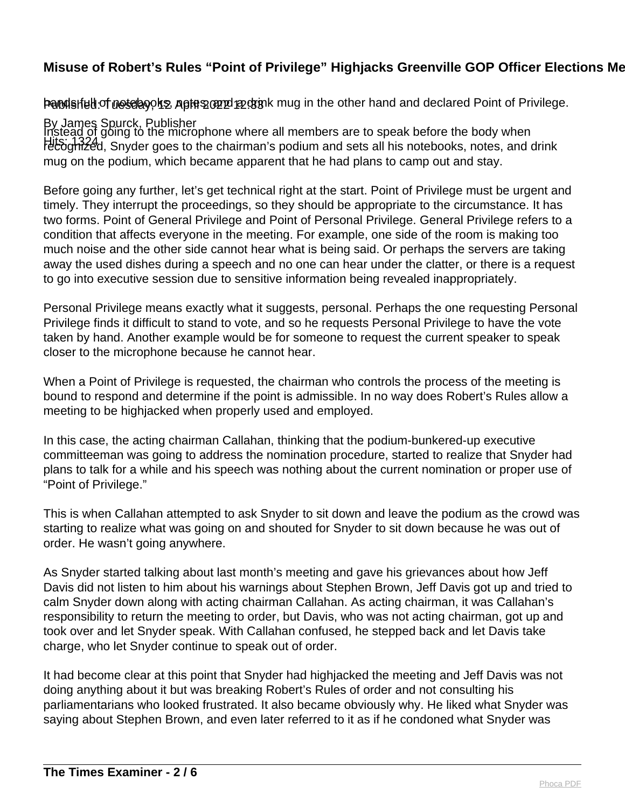## Pubdshell of notebooks aptes ound petrink mug in the other hand and declared Point of Privilege.

#### By James Spurck, Publisher

Hits: 1324 recognized, Snyder goes to the chairman's podium and sets all his notebooks, notes, and drink Instead of going to the microphone where all members are to speak before the body when mug on the podium, which became apparent that he had plans to camp out and stay.

Before going any further, let's get technical right at the start. Point of Privilege must be urgent and timely. They interrupt the proceedings, so they should be appropriate to the circumstance. It has two forms. Point of General Privilege and Point of Personal Privilege. General Privilege refers to a condition that affects everyone in the meeting. For example, one side of the room is making too much noise and the other side cannot hear what is being said. Or perhaps the servers are taking away the used dishes during a speech and no one can hear under the clatter, or there is a request to go into executive session due to sensitive information being revealed inappropriately.

Personal Privilege means exactly what it suggests, personal. Perhaps the one requesting Personal Privilege finds it difficult to stand to vote, and so he requests Personal Privilege to have the vote taken by hand. Another example would be for someone to request the current speaker to speak closer to the microphone because he cannot hear.

When a Point of Privilege is requested, the chairman who controls the process of the meeting is bound to respond and determine if the point is admissible. In no way does Robert's Rules allow a meeting to be highjacked when properly used and employed.

In this case, the acting chairman Callahan, thinking that the podium-bunkered-up executive committeeman was going to address the nomination procedure, started to realize that Snyder had plans to talk for a while and his speech was nothing about the current nomination or proper use of "Point of Privilege."

This is when Callahan attempted to ask Snyder to sit down and leave the podium as the crowd was starting to realize what was going on and shouted for Snyder to sit down because he was out of order. He wasn't going anywhere.

As Snyder started talking about last month's meeting and gave his grievances about how Jeff Davis did not listen to him about his warnings about Stephen Brown, Jeff Davis got up and tried to calm Snyder down along with acting chairman Callahan. As acting chairman, it was Callahan's responsibility to return the meeting to order, but Davis, who was not acting chairman, got up and took over and let Snyder speak. With Callahan confused, he stepped back and let Davis take charge, who let Snyder continue to speak out of order.

It had become clear at this point that Snyder had highjacked the meeting and Jeff Davis was not doing anything about it but was breaking Robert's Rules of order and not consulting his parliamentarians who looked frustrated. It also became obviously why. He liked what Snyder was saying about Stephen Brown, and even later referred to it as if he condoned what Snyder was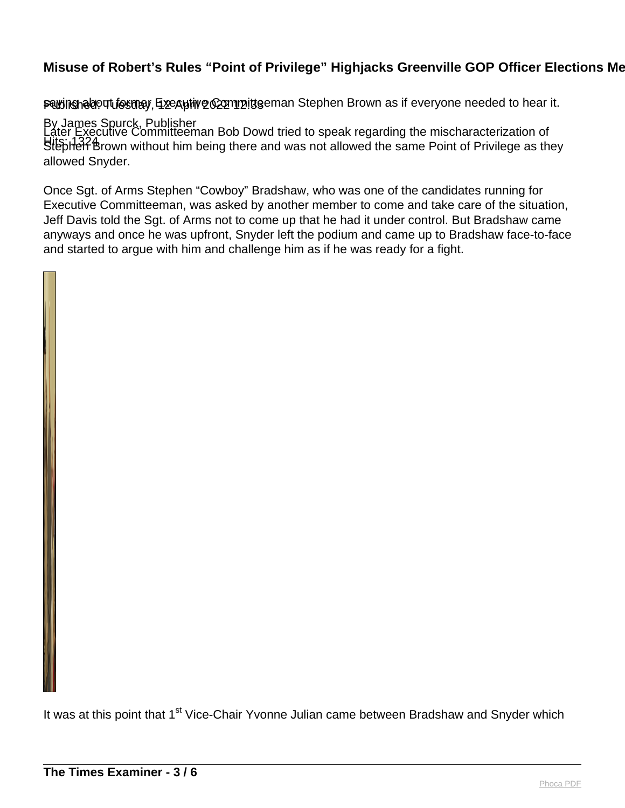pawing about fosunay, Executive Committeeman Stephen Brown as if everyone needed to hear it.

#### By James Spurck, Publisher

Hits: 1324 The Committee of the therm of the product of products and was not allowed the same Point of Privilege as they Later Executive Committeeman Bob Dowd tried to speak regarding the mischaracterization of allowed Snyder.

Once Sgt. of Arms Stephen "Cowboy" Bradshaw, who was one of the candidates running for Executive Committeeman, was asked by another member to come and take care of the situation, Jeff Davis told the Sgt. of Arms not to come up that he had it under control. But Bradshaw came anyways and once he was upfront, Snyder left the podium and came up to Bradshaw face-to-face and started to argue with him and challenge him as if he was ready for a fight.

It was at this point that 1<sup>st</sup> Vice-Chair Yvonne Julian came between Bradshaw and Snyder which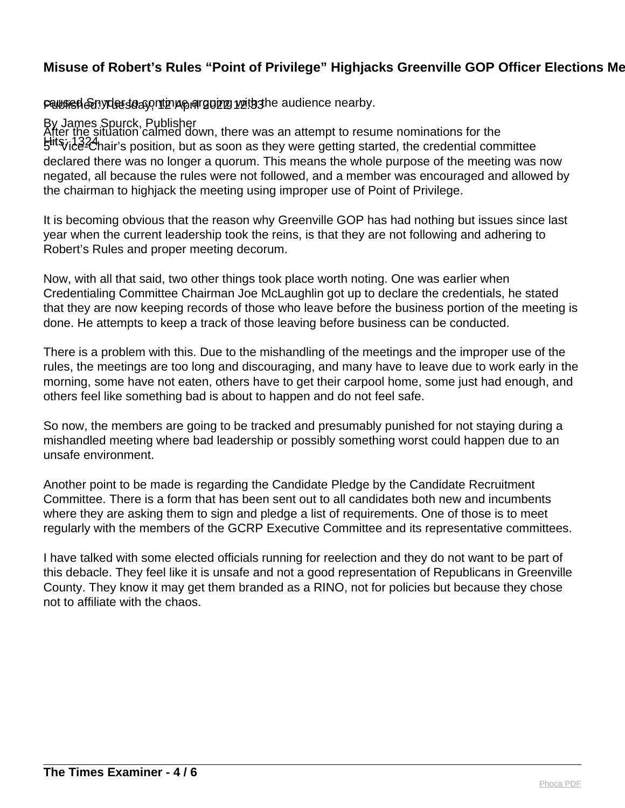# Palbined& nydessa ay ntinue arguing with the audience nearby.

#### By James Spurck, Publisher

Hits; 1324 Thair's position, but as soon as they were getting started, the credential committee After the situation calmed down, there was an attempt to resume nominations for the declared there was no longer a quorum. This means the whole purpose of the meeting was now negated, all because the rules were not followed, and a member was encouraged and allowed by the chairman to highjack the meeting using improper use of Point of Privilege.

It is becoming obvious that the reason why Greenville GOP has had nothing but issues since last year when the current leadership took the reins, is that they are not following and adhering to Robert's Rules and proper meeting decorum.

Now, with all that said, two other things took place worth noting. One was earlier when Credentialing Committee Chairman Joe McLaughlin got up to declare the credentials, he stated that they are now keeping records of those who leave before the business portion of the meeting is done. He attempts to keep a track of those leaving before business can be conducted.

There is a problem with this. Due to the mishandling of the meetings and the improper use of the rules, the meetings are too long and discouraging, and many have to leave due to work early in the morning, some have not eaten, others have to get their carpool home, some just had enough, and others feel like something bad is about to happen and do not feel safe.

So now, the members are going to be tracked and presumably punished for not staying during a mishandled meeting where bad leadership or possibly something worst could happen due to an unsafe environment.

Another point to be made is regarding the Candidate Pledge by the Candidate Recruitment Committee. There is a form that has been sent out to all candidates both new and incumbents where they are asking them to sign and pledge a list of requirements. One of those is to meet regularly with the members of the GCRP Executive Committee and its representative committees.

I have talked with some elected officials running for reelection and they do not want to be part of this debacle. They feel like it is unsafe and not a good representation of Republicans in Greenville County. They know it may get them branded as a RINO, not for policies but because they chose not to affiliate with the chaos.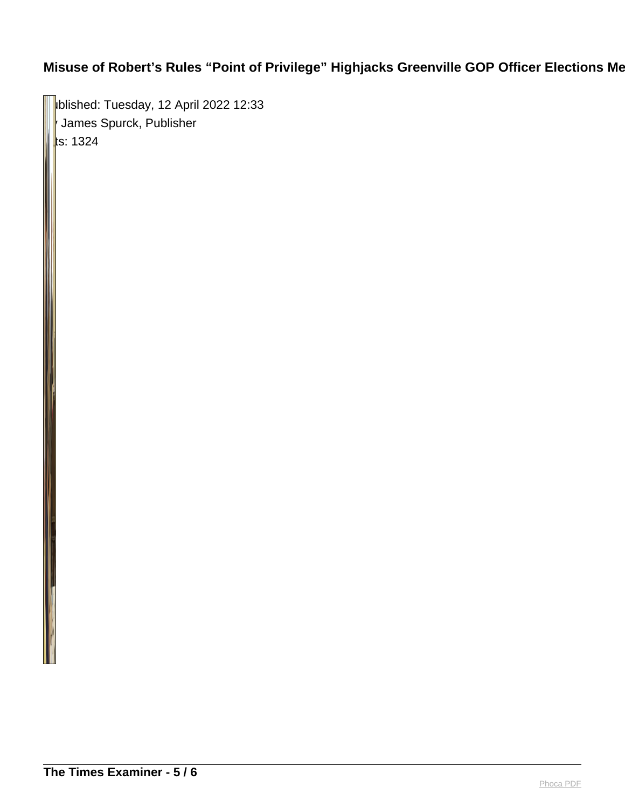blished: Tuesday, 12 April 2022 12:33 James Spurck, Publisher  $\vert$ ts: 1324